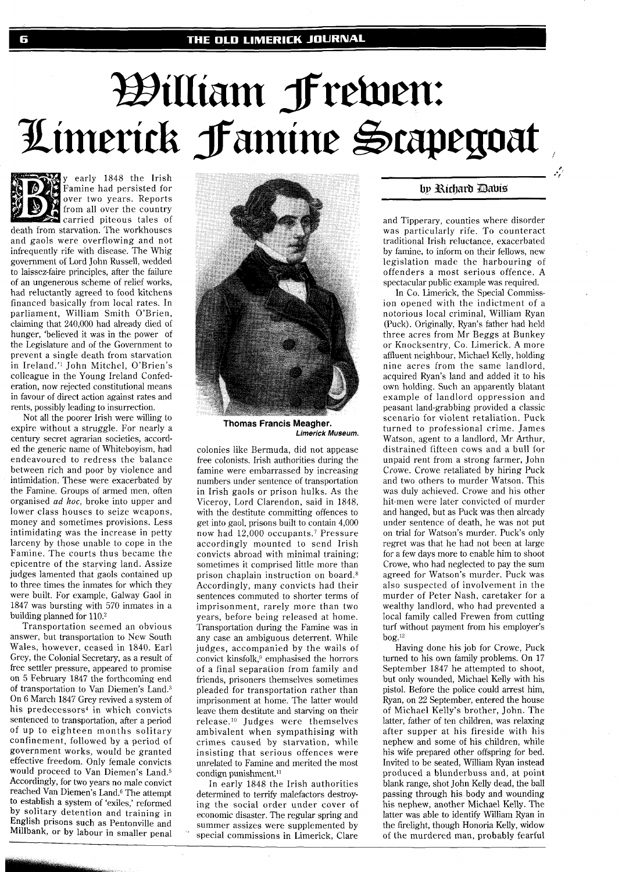## William Frewen: Limerick Famine Scapegoat

y early 1848 the Irish Famine had persisted for over two years. Reports from all over the country carried piteous tales of death from starvation. The workhouses and gaols were overflowing and not infrequently rife with disease. The Whig government of Lord John Russell, wedded to laissez-faire principles, after the failure of an ungenerous scheme of relief works, had reluctantly agreed to food kitchens financed basically from local rates. In parliament, William Smith O'Brien, claiming that 240,000 had already died of hunger, 'believed it was in the power of the Legislature and of the Government to prevent a single death from starvation in Ireland." John Mitchel, O'Brien's colleague in the Young Ireland Confederation, now rejected constitutional means in favour of direct action against rates and rents, possibly leading to insurrection.

Not all the poorer Irish were willing to expire without a struggle. For nearly a century secret agrarian societies, accorded the generic name of Whiteboyism, had endeavoured to redress the balance between rich and poor by violence and intimidation. These were exacerbated by the Famine. Groups of armed men, often organised ad *hoc,* broke into upper and lower class houses to seize weapons, money and sometimes provisions. Less intimidating was the increase in petty larceny by those unable to cope in the Famine. The courts thus became the epicentre of the starving land. Assize judges lamented that gaols contained up to three times the inmates for which they were built. For example, Galway Gaol in 1847 was bursting with 570 inmates in a building planned for 110.2

Transportation seemed an obvious answer, but transportation to New South Wales, however, ceased in 1840. Earl Grey, the Colonial Secretary, as a result of free settler pressure, appeared to promise on 5 February 1847 the forthcoming end of transportation to Van Diemen's Land.3 On 6 March 1847 Grey revived a system of his predecessors<sup>4</sup> in which convicts sentenced to transportation, after a period of up to eighteen months solitary confinement, followed by a period of government works, would be granted effective freedom. Only female convicts would proceed to Van Diemen's Land.5 Accordingly, for two years no male convict reached Van Diemen's Land.6 The attempt to establish a system of 'exiles,' reformed by solitary detention and training in English prisons such as Pentonville and Millbank, or by labour in smaller penal



**Thomas Francis Meagher. Limerick Museum.** 

colonies like Bermuda, did not appease free colonists. Irish authorities during the famine were embarrassed by increasing numbers under sentence of transportation in Irish gaols or prison hulks. As the Viceroy, Lord Clarendon, said in 1848, with the destitute committing offences to get into gaol, prisons built to contain 4,000 now had 12,000 occupants.<sup>7</sup> Pressure accordingly mounted to send Irish convicts abroad with minimal training; sometimes it comprised little more than prison chaplain instruction on board.8 Accordingly, many convicts had their sentences commuted to shorter terms of imprisonment, rarely more than two years, before being released at home. Transportation during the Famine was in any case an ambiguous deterrent. While judges, accompanied by the wails of convict kinsfolk,<sup>9</sup> emphasised the horrors of a final separation from family and friends, prisoners themselves sometimes pleaded for transportation rather than imprisonment at home. The latter would leave them destitute and starving on their release.'O Judges were themselves ambivalent when sympathising with crimes caused by starvation, while insisting that serious offences were unrelated to Famine and merited the most condign punishment."

In early 1848 the Irish authorities determined to terrify malefactors destroying the social order under cover of economic disaster. The regular spring and summer assizes were supplemented by special commissions in Limerick, Clare

## by Richard Davis

and Tipperary, counties where disorder was particularly rife. To counteract traditional Irish reluctance, exacerbated by famine, to inform on their fellows, new legislation made the harbouring of offenders a most serious offence. A spectacular public example was required.

In Co. Limerick, the Special Commission opened with the indictment of a notorious local criminal, William Ryan (Puck). Originally, Ryan's father had held three acres from Mr Beggs at Bunkey or Knocksentry, Co. Limerick. A more affluent neighbour, Michael Kelly, holding nine acres from the same landlord, acquired Ryan's land and added it to his own holding. Such an apparently blatant example of landlord oppression and peasant land-grabbing provided a classic scenario for violent retaliation. Puck turned to professional crime. James Watson, agent to a landlord, Mr Arthur, distrained fifteen cows and a bull for unpaid rent from a strong farmer, John Crowe. Crowe retaliated by hiring Puck and two others to murder Watson. This was duly achieved. Crowe and his other hit-men were later convicted of murder and hanged, but as Puck was then already under sentence of death, he was not put on trial for Watson's murder. Puck's only regret was that he had not been at large for a few days more to enable him to shoot Crowe, who had neglected to pay the sum agreed for Watson's murder. Puck was also suspected of involvement in the murder of Peter Nash, caretaker for a wealthy landlord, who had prevented a local family called Frewen from cutting turf without payment from his employer's  $b$ og.<sup>12</sup>

Having done his job for Crowe, Puck turned to his own family problems. On 17 September 1847 he attempted to shoot, but only wounded, Michael Kelly with his pistol. Before the police could arrest him, Ryan, on 22 September, entered the house of Michael Kelly's brother, John. The latter, father of ten children, was relaxing after supper at his fireside with his nephew and some of his children, while his wife prepared other offspring for bed. Invited to be seated, William Ryan instead produced a blunderbuss and, at point blank range, shot John Kelly dead, the ball passing through his body and wounding his nephew, another Michael Kelly. The latter was able to identify William Ryan in the firelight, though Honoria Kelly, widow of the murdered man, probably fearful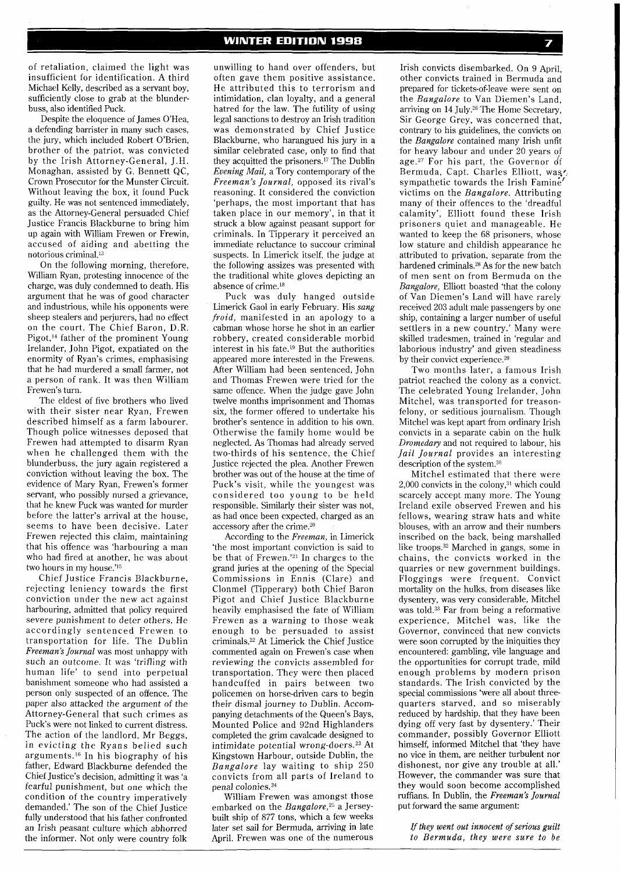of retaliation, claimed the light was insufficient for identification. A third Michael Kelly, described as a servant boy, sufficiently close to grab at the blunderbuss, also identified Puck.

Despite the eloquence of James O'Hea, a defending barrister in many such cases, the jury, which included Robert O'Brien, brother of the patriot, was convicted by the Irish Attorney-General, J.H. Monaghan, assisted by G. Bennett QC, Crown Prosecutor for the Munster Circuit. Without leaving the box, it found Puck guilty. He was not sentenced immediately, as the Attorney-General persuaded Chief Justice Francis Blackburne to bring him up again with William Frewen or Frewin, accused of aiding and abetting the notorious criminal.13

On the following morning, therefore, William Ryan, protesting innocence of the charge, was duly condemned to death. His argument that he was of good character and industrious, while his opponents were sheep stealers and perjurers, had no effect on the court. The Chief Baron, D.R. Pigot,<sup>14</sup> father of the prominent Young Irelander, John Pigot, expatiated on the enormity of Ryan's crimes, emphasising that he had murdered a small farmer, not a person of rank. It was then William Frewen's turn.

The eldest of five brothers who lived with their sister near Ryan, Frewen described himself as a farm labourer. Though police witnesses deposed that Frewen had attempted to disarm Ryan when he challenged them with the blunderbuss, the jury again registered a conviction without leaving the box. The evidence of Mary Ryan, Frewen's former servant, who possibly nursed a grievance, that he knew Puck was wanted for murder before the latter's arrival at the house, seems to have been decisive. Later Frewen rejected this claim, maintaining that his offence was 'harbouring a man who had fired at another, he was about two hours in my house.'<sup>15</sup>

Chief Justice Francis Blackburne, rejecting leniency towards the first conviction under the new act against harbouring, admitted that policy required severe punishment to deter others. He accordingly sentenced Frewen to transportation for life. The Dublin *Freeman's Journal* was most unhappy with such an outcome. It was 'trifling with human life' to send into perpetual banishment someone who had assisted a person only suspected of an offence. The paper also attacked the argument of the Attorney-General that such crimes as Puck's were not linked to current distress. The action of the landlord, Mr Beggs, in evicting the Ryans belied such arguments.I6 In his biography of his father, Edward Blackburne defended the Chief Justice's decision, admitting it was 'a fearful punishment, but one which the condition of the country imperatively demanded.' The son of the Chief Justice fully understood that his father confronted an Irish peasant culture which abhorred the informer. Not only were country folk unwilling to hand over offenders, but often gave them positive assistance. He attributed this to terrorism and intimidation, clan loyalty, and a general hatred for the law. The futility of using legal sanctions to destroy an Irish tradition was demonstrated by Chief Justice Blackburne, who harangued his jury in a similar celebrated case, only to find that they acquitted the prisoners.<sup>17</sup> The Dublin *Evening Mail,* a Tory contemporary of the *Freeman's Journal,* opposed its rival's reasoning. It considered the conviction 'perhaps, the most important that has taken place in our memory', in that it struck a blow against peasant support for criminals. In Tipperary it perceived an immediate reluctance to succour criminal suspects. In Limerick itself, the judge at the following assizes was presented with the traditional white gloves depicting an absence of crime. $^{18}$ 

Puck was duly hanged outside Limerick Gaol in early February. His *sang froid,* manifested in an apology to a cabman whose horse he shot in an earlier robbery, created considerable morbid interest in his fate.19 But the authorities appeared more interested in the Frewens. After William had been sentenced, John and Thomas Frewen were tried for the same offence. When the judge gave John twelve months imprisonment and Thomas six, the former offered to undertake his brother's sentence in addition to his own. Otherwise the family home would be neglected. As Thomas had already served two-thirds of his sentence, the Chief Justice rejected the plea. Another Frewen brother was out of the house at the time of Puck's visit, while the youngest was considered too young to be held responsible. Similarly their sister was not, as had once been expected, charged as an accessory after the crime.2o

According to the *Freeman,* in Limerick 'the most important conviction is said to be that of Frewen.'<sup>21</sup> In charges to the grand juries at the opening of the Special Commissions in Ennis (Clare) and Clonmel (Tipperary) both Chief Baron Pigot and Chief Justice Blackburne heavily emphasised the fate of William Frewen as a warning to those weak enough to be persuaded to assist criminals.22 At Limerick the Chief Justice commented again on Frewen's case when reviewing the convicts assembled for transportation. They were then placed handcuffed in pairs between two policemen on horse-driven cars to begin their dismal journey to Dublin. Accompanying detachments of the Queen's Bays, Mounted Police and 92nd Highlanders completed the grim cavalcade designed to intimidate potential wrong-doers.23 At Kingstown Harbour, outside Dublin, the *Bangalore* lay waiting to ship 250 convicts from all parts of Ireland to penal colonies.24

William Frewen was amongst those embarked on the *Bangalore*,<sup>25</sup> a Jerseybuilt ship of 877 tons, which a few weeks later set sail for Bermuda, arriving in late April. Frewen was one of the numerous

Irish convicts disembarked. On 9 April, other convicts trained in Bermuda and prepared for tickets-of-leave were sent on the *Bangalore* to Van Diemen's Land, arriving on 14 July.<sup>26</sup> The Home Secretary, Sir George Grey, was concerned that, contrary to his guidelines, the convicts on the *Bangalore* contained many Irish unfit for heavy labour and under 20 years of age.<sup>27</sup> For his part, the Governor of Bermuda, Capt. Charles Elliott, was sympathetic towards the Irish Faminet victims on the *Bangalore.* Attributing many of their offences to the 'dreadful calamity', Elliott found these Irish prisoners quiet and manageable. He wanted to keep the 68 prisoners, whose low stature and childish appearance he attributed to privation, separate from the hardened criminals.<sup>28</sup> As for the new batch of men sent on from Bermuda on the *Bangalore,* Elliott boasted 'that the colony of Van Diemen's Land will have rarely received 203 adult male passengers by one ship, containing a larger number of useful settlers in a new country.' Many were skilled tradesmen, trained in 'regular and laborious industry' and given steadiness by their convict experience.<sup>29</sup>

Two months later, a famous Irish patriot reached the colony as a convict. The celebrated Young Irelander, John Mitchel, was transported for treasonfelony, or seditious journalism. Though Mitchel was kept apart from ordinary Irish convicts in a separate cabin on the hulk *Dromedary* and not required to labour, his *Jail Journal* provides an interesting description of the system.30

Mitchel estimated that there were  $2,000$  convicts in the colony, $31$  which could scarcely accept many more. The Young Ireland exile observed Frewen and his fellows, wearing straw hats and white blouses, with an arrow and their numbers inscribed on the back, being marshalled like troops.<sup>32</sup> Marched in gangs, some in chains, the convicts worked in the quarries or new government buildings. Floggings were frequent. Convict mortality on the hulks, from diseases like dysentery, was very considerable, Mitchel was told.<sup>33</sup> Far from being a reformative experience, Mitchel was, like the Governor, convinced that new convicts were soon corrupted by the iniquities they encountered: gambling, vile language and the opportunities for corrupt trade, mild enough problems by modern prison standards. The Irish convicted by the special commissions 'were all about threequarters starved, and so miserably reduced by hardship, that they have been dying off very fast by dysentery.' Their commander, possibly Governor Elliott himself, informed Mitchel that 'they have no vice in them, are neither turbulent nor dishonest, nor give any trouble at all.' However, the commander was sure that they would soon become accomplished ruffians. In Dublin, the *Freeman's Journal*  put forward the same argument:

If *they went out innocent of serious guilt to Bermuda, they were sure to be*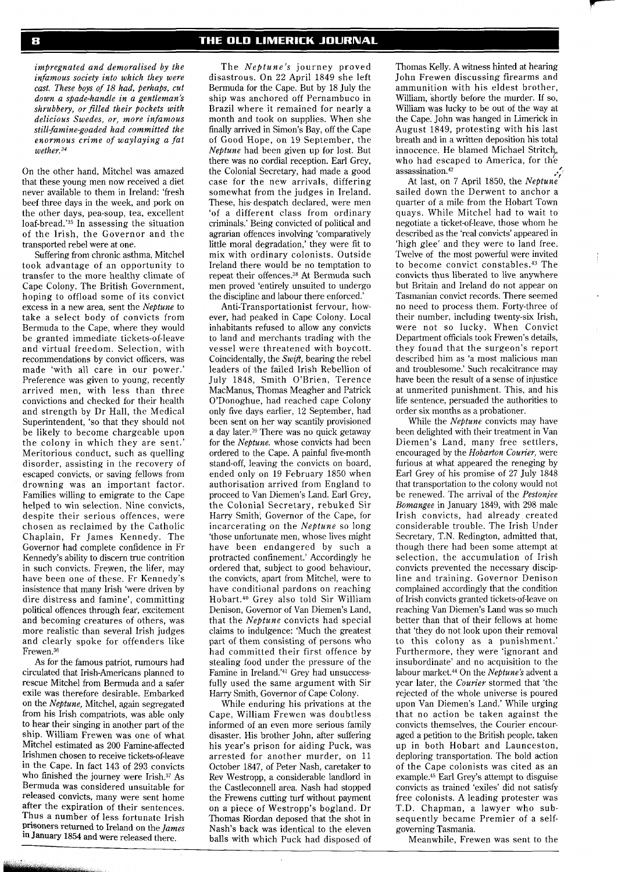*impregnated and demoralised by the infamous society into which they were cast. These boys of 18 had, perhaps, cut down a spade-handle in a gentleman's shrubbery, or filled their pockets with delicious Swedes, or, more infamous stil1;famine-goaded had committed the enormous crime of waylaying a fat wether.34* 

On the other hand, Mitchel was amazed that these young men now received a diet never available to them in Ireland: 'fresh beef three days in the week, and pork on the other days, pea-soup, tea, excellent loaf-bread.'35 In assessing the situation of the Irish, the Governor and the transported rebel were at one.

Suffering from chronic asthma, Mitchel took advantage of an opportunity to transfer to the more healthy climate of Cape Colony. The British Government, hoping to offload some of its convict excess in a new area, sent the *Neptune* to take a select body of convicts from Bermuda to the Cape, where they would be granted immediate tickets-of-leave and virtual freedom. Selection, with recommendations by convict officers, was made 'with all care in our power.' Preference was given to young, recently arrived men, with less than three convictions and checked for their health and strength by Dr Hall, the Medical Superintendent, 'so that they should not be likely to become chargeable upon the colony in which they are sent. Meritorious conduct, such as quelling disorder, assisting in the recovery of escaped convicts, or saving fellows from drowning was an important factor. Families willing to emigrate to the Cape helped to win selection. Nine convicts, despite their serious offences, were chosen as reclaimed by the Catholic Chaplain, Fr James Kennedy. The Governor had complete confidence in Fr Kennedy's ability to discern true contrition in such convicts. Frewen, the lifer, may have been one of these. Fr Kennedy's insistence that many Irish 'were driven by dire distress and famine', committing political offences through fear, excitement and becoming creatures of others, was more realistic than several Irish judges and clearly spoke for offenders like  $F$ rewen. $^{36}$ 

As for the famous patriot, rumours had circulated that Irish-Americans planned to rescue Mitchel from Bermuda and a safer exile was therefore desirable. Embarked on the *Neptune,* Mitchel, again segregated from his Irish compatriots, was able only to hear their singing in another part of the ship. William Frewen was one of what Mitchel estimated as 200 Famine-affected Irishmen chosen to receive tickets-of-leave in the Cape. In fact 143 of 293 convicts who finished the journey were Irish.<sup>37</sup> As Bermuda was considered unsuitable for released convicts, many were sent home after the expiration of their sentences. Thus a number of less fortunate Irish prisoners returned to Ireland on the *James*  in January *1854* and were released there.

The *Neptune's* journey proved disastrous. On 22 April 1849 she left Bermuda for the Cape. But by 18 July the ship was anchored off Pernambuco in Brazil where it remained for nearly a month and took on supplies. When she finally arrived in Simon's Bay, off the Cape of Good Hope, on 19 September, the *Neptune* had been given up for lost. But there was no cordial reception. Earl Grey, the Colonial Secretary, had made a good case for the new arrivals, differing somewhat from the judges in Ireland. These, his despatch declared, were men 'of a different class from ordinary criminals.' Being convicted of political and agrarian offences involving 'comparatively little moral degradation,' they were fit to mix with ordinary colonists. Outside Ireland there would be no temptation to repeat their offences.38 At Bermuda such men proved 'entirely unsuited to undergo the discipline and labour there enforced.'

Anti-Transportationist fervour, however, had peaked in Cape Colony. Local inhabitants refused to allow any convicts to land and merchants trading with the vessel were threatened with boycott. Coincidentally, the *Swift,* bearing the rebel leaders of the failed Irish Rebellion of July 1848, Smith O'Brien, Terence MacManus, Thomas Meagher and Patrick O'Donoghue, had reached cape Colony only five days earlier, 12 September, had been sent on her way scantily provisioned a day later.39 There was no quick getaway for the *Neptune.* whose convicts had been ordered to the Cape. A painful five-month stand-off, leaving the convicts on board, ended only on 19 February 1850 when authorisation arrived from England to proceed to Van Diemen's Land. Earl Grey, the Colonial Secretary, rebuked Sir Harry Smith, Governor of the Cape, for incarcerating on the *Neptune* so long 'those unfortunate men, whose lives might have been endangered by such a protracted confinement.' Accordingly he ordered that, subject to good behaviour, the convicts, apart from Mitchel, were to have conditional pardons on reaching Hobart.40 Grey also told Sir William Denison, Governor of Van Diemen's Land, that the *Neptune* convicts had special claims to indulgence: 'Much the greatest part of them consisting of persons who had committed their first offence by stealing food under the pressure of the Famine in Ireland.'41 Grey had unsuccessfully used the same argument with Sir Harry Smith, Governor of Cape Colony.

While enduring his privations at the Cape, William Frewen was doubtless informed of an even more serious family disaster. His brother John, after suffering his year's prison for aiding Puck, was arrested for another murder, on 11 October 1847, of Peter Nash, caretaker to Rev Westropp, a considerable landlord in the Castleconnell area. Nash had stopped the Frewens cutting turf without payment on a piece of Westropp's bogland. Dr Thomas Riordan deposed that the shot in Nash's back was identical to the eleven balls with which Puck had disposed of

Thomas Kelly. A witness hinted at hearing John Frewen discussing firearms and ammunition with his eldest brother, William, shortly before the murder. If so, William was lucky to be out of the way at the Cape. John was hanged in Limerick in August 1849, protesting with his last breath and in a written deposition his total innocence. He blamed Michael Stritch, who had escaped to America, for the assassination.<sup>42</sup>

At last, on 7 April 1850, the *Neptune* sailed down the Derwent to anchor a quarter of a mile from the Hobart Town quays. While Mitchel had to wait to negotiate a ticket-of-leave, those whom he described as the 'real convicts' appeared in 'high glee' and they were to land free. Twelve of the most powerful were invited to become convict constables.<sup>43</sup> The convicts thus liberated to live anywhere but Britain and Ireland do not appear on Tasmanian convict records. There seemed no need to process them. Forty-three of their number, including twenty-six Irish, were not so lucky. When Convict Department officials took Frewen's details, they found that the surgeon's report described him as 'a most malicious man and troublesome.' Such recalcitrance may have been the result of a sense of injustice at unmerited punishment. This, and his life sentence, persuaded the authorities to order six months as a probationer.

While the *Neptune* convicts may have been delighted with their treatment in Van Diemen's Land, many free settlers, encouraged by the *Hobarton Courier,* were furious at what appeared the reneging by Earl Grey of his promise of 27 July 1848 that transportation to the colony would not be renewed. The arrival of the *Pestonjee Bomangee* in January 1849, with 298 male Irish convicts, had already created considerable trouble. The Irish Under Secretary, T.N. Redington, admitted that, though there had been some attempt at selection, the accumulation of Irish convicts prevented the necessary discipline and training. Governor Denison complained accordingly that the condition of Irish convicts granted tickets-of-leave on reaching Van Diemen's Land was so much better than that of their fellows at home that 'they do not look upon their removal to this colony as a punishment.' Furthermore, they were 'ignorant and insubordinate' and no acquisition to the labour market.44 On the *Neptune's* advent a year later, the *Courier* stormed that 'the rejected of the whole universe is poured upon Van Diemen's Land.' While urging that no action be taken against the convicts themselves, the Courier encouraged a petition to the British people, taken up in both Hobart and Launceston, deploring transportation. The bold action of the Cape colonists was cited as an example.<sup>45</sup> Earl Grey's attempt to disguise convicts as trained 'exiles' did not satisfy free colonists. A leading protester was T.D. Chapman, a lawyer who subsequently became Premier of a selfgoverning Tasmania.

Meanwhile, Frewen was sent to the